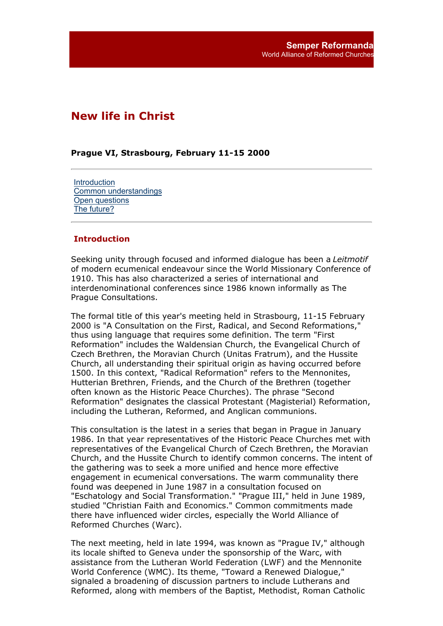# **New life in Christ**

## **Prague VI, Strasbourg, February 11-15 2000**

**Introduction** Common understandings Open questions The future?

#### **Introduction**

Seeking unity through focused and informed dialogue has been a *Leitmotif* of modern ecumenical endeavour since the World Missionary Conference of 1910. This has also characterized a series of international and interdenominational conferences since 1986 known informally as The Prague Consultations.

The formal title of this year's meeting held in Strasbourg, 11-15 February 2000 is "A Consultation on the First, Radical, and Second Reformations," thus using language that requires some definition. The term "First Reformation" includes the Waldensian Church, the Evangelical Church of Czech Brethren, the Moravian Church (Unitas Fratrum), and the Hussite Church, all understanding their spiritual origin as having occurred before 1500. In this context, "Radical Reformation" refers to the Mennonites, Hutterian Brethren, Friends, and the Church of the Brethren (together often known as the Historic Peace Churches). The phrase "Second Reformation" designates the classical Protestant (Magisterial) Reformation, including the Lutheran, Reformed, and Anglican communions.

This consultation is the latest in a series that began in Prague in January 1986. In that year representatives of the Historic Peace Churches met with representatives of the Evangelical Church of Czech Brethren, the Moravian Church, and the Hussite Church to identify common concerns. The intent of the gathering was to seek a more unified and hence more effective engagement in ecumenical conversations. The warm communality there found was deepened in June 1987 in a consultation focused on "Eschatology and Social Transformation." "Prague III," held in June 1989, studied "Christian Faith and Economics." Common commitments made there have influenced wider circles, especially the World Alliance of Reformed Churches (Warc).

The next meeting, held in late 1994, was known as "Prague IV," although its locale shifted to Geneva under the sponsorship of the Warc, with assistance from the Lutheran World Federation (LWF) and the Mennonite World Conference (WMC). Its theme, "Toward a Renewed Dialogue," signaled a broadening of discussion partners to include Lutherans and Reformed, along with members of the Baptist, Methodist, Roman Catholic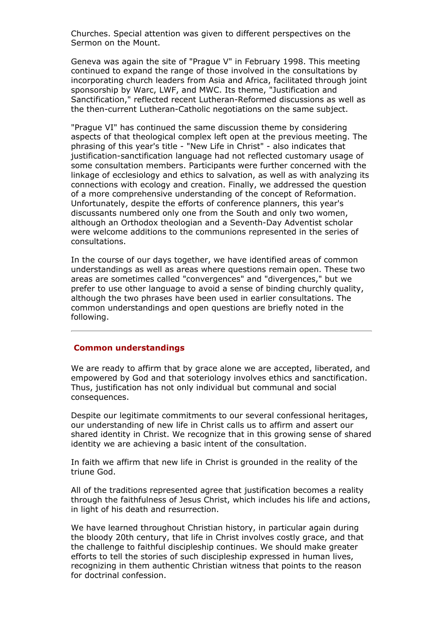Churches. Special attention was given to different perspectives on the Sermon on the Mount.

Geneva was again the site of "Prague V" in February 1998. This meeting continued to expand the range of those involved in the consultations by incorporating church leaders from Asia and Africa, facilitated through joint sponsorship by Warc, LWF, and MWC. Its theme, "Justification and Sanctification," reflected recent Lutheran-Reformed discussions as well as the then-current Lutheran-Catholic negotiations on the same subject.

"Prague VI" has continued the same discussion theme by considering aspects of that theological complex left open at the previous meeting. The phrasing of this year's title - "New Life in Christ" - also indicates that justification-sanctification language had not reflected customary usage of some consultation members. Participants were further concerned with the linkage of ecclesiology and ethics to salvation, as well as with analyzing its connections with ecology and creation. Finally, we addressed the question of a more comprehensive understanding of the concept of Reformation. Unfortunately, despite the efforts of conference planners, this year's discussants numbered only one from the South and only two women, although an Orthodox theologian and a Seventh-Day Adventist scholar were welcome additions to the communions represented in the series of consultations.

In the course of our days together, we have identified areas of common understandings as well as areas where questions remain open. These two areas are sometimes called "convergences" and "divergences," but we prefer to use other language to avoid a sense of binding churchly quality, although the two phrases have been used in earlier consultations. The common understandings and open questions are briefly noted in the following.

# **Common understandings**

We are ready to affirm that by grace alone we are accepted, liberated, and empowered by God and that soteriology involves ethics and sanctification. Thus, justification has not only individual but communal and social consequences.

Despite our legitimate commitments to our several confessional heritages, our understanding of new life in Christ calls us to affirm and assert our shared identity in Christ. We recognize that in this growing sense of shared identity we are achieving a basic intent of the consultation.

In faith we affirm that new life in Christ is grounded in the reality of the triune God.

All of the traditions represented agree that justification becomes a reality through the faithfulness of Jesus Christ, which includes his life and actions, in light of his death and resurrection.

We have learned throughout Christian history, in particular again during the bloody 20th century, that life in Christ involves costly grace, and that the challenge to faithful discipleship continues. We should make greater efforts to tell the stories of such discipleship expressed in human lives, recognizing in them authentic Christian witness that points to the reason for doctrinal confession.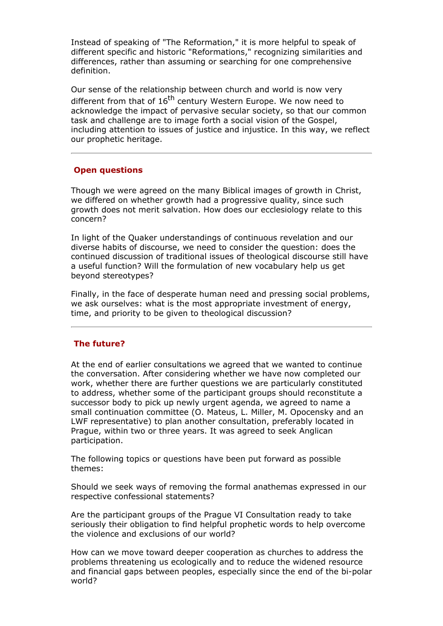Instead of speaking of "The Reformation," it is more helpful to speak of different specific and historic "Reformations," recognizing similarities and differences, rather than assuming or searching for one comprehensive definition.

Our sense of the relationship between church and world is now very different from that of  $16<sup>th</sup>$  century Western Europe. We now need to acknowledge the impact of pervasive secular society, so that our common task and challenge are to image forth a social vision of the Gospel, including attention to issues of justice and injustice. In this way, we reflect our prophetic heritage.

## **Open questions**

Though we were agreed on the many Biblical images of growth in Christ, we differed on whether growth had a progressive quality, since such growth does not merit salvation. How does our ecclesiology relate to this concern?

In light of the Quaker understandings of continuous revelation and our diverse habits of discourse, we need to consider the question: does the continued discussion of traditional issues of theological discourse still have a useful function? Will the formulation of new vocabulary help us get beyond stereotypes?

Finally, in the face of desperate human need and pressing social problems, we ask ourselves: what is the most appropriate investment of energy, time, and priority to be given to theological discussion?

# **The future?**

At the end of earlier consultations we agreed that we wanted to continue the conversation. After considering whether we have now completed our work, whether there are further questions we are particularly constituted to address, whether some of the participant groups should reconstitute a successor body to pick up newly urgent agenda, we agreed to name a small continuation committee (O. Mateus, L. Miller, M. Opocensky and an LWF representative) to plan another consultation, preferably located in Prague, within two or three years. It was agreed to seek Anglican participation.

The following topics or questions have been put forward as possible themes:

Should we seek ways of removing the formal anathemas expressed in our respective confessional statements?

Are the participant groups of the Prague VI Consultation ready to take seriously their obligation to find helpful prophetic words to help overcome the violence and exclusions of our world?

How can we move toward deeper cooperation as churches to address the problems threatening us ecologically and to reduce the widened resource and financial gaps between peoples, especially since the end of the bi-polar world?